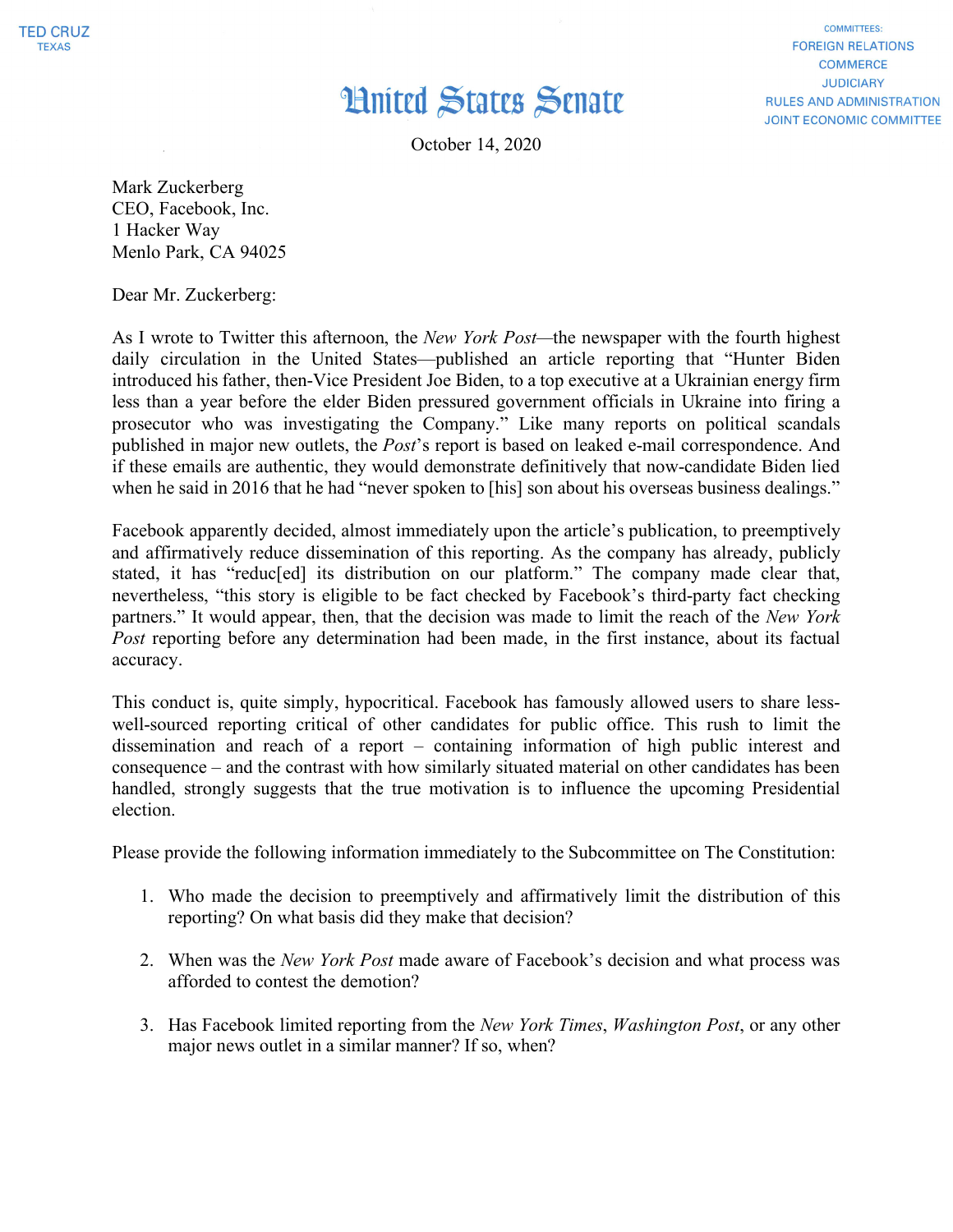## **Hnited States Senate**

October 14, 2020

**COMMITTEES: FOREIGN RELATIONS COMMERCE JUDICIARY RULES AND ADMINISTRATION JOINT ECONOMIC COMMITTEE** 

Mark Zuckerberg CEO, Facebook, Inc. 1 Hacker Way Menlo Park, CA 94025

Dear Mr. Zuckerberg:

As I wrote to Twitter this afternoon, the *New York Post—*the newspaper with the fourth highest daily circulation in the United States—published an article reporting that "Hunter Biden introduced his father, then-Vice President Joe Biden, to a top executive at a Ukrainian energy firm less than a year before the elder Biden pressured government officials in Ukraine into firing a prosecutor who was investigating the Company." Like many reports on political scandals published in major new outlets, the *Post*'s report is based on leaked e-mail correspondence. And if these emails are authentic, they would demonstrate definitively that now-candidate Biden lied when he said in 2016 that he had "never spoken to [his] son about his overseas business dealings."

Facebook apparently decided, almost immediately upon the article's publication, to preemptively and affirmatively reduce dissemination of this reporting. As the company has already, publicly stated, it has "reduc[ed] its distribution on our platform." The company made clear that, nevertheless, "this story is eligible to be fact checked by Facebook's third-party fact checking partners." It would appear, then, that the decision was made to limit the reach of the *New York Post* reporting before any determination had been made, in the first instance, about its factual accuracy.

This conduct is, quite simply, hypocritical. Facebook has famously allowed users to share lesswell-sourced reporting critical of other candidates for public office. This rush to limit the dissemination and reach of a report – containing information of high public interest and consequence – and the contrast with how similarly situated material on other candidates has been handled, strongly suggests that the true motivation is to influence the upcoming Presidential election.

Please provide the following information immediately to the Subcommittee on The Constitution:

- 1. Who made the decision to preemptively and affirmatively limit the distribution of this reporting? On what basis did they make that decision?
- 2. When was the *New York Post* made aware of Facebook's decision and what process was afforded to contest the demotion?
- 3. Has Facebook limited reporting from the *New York Times*, *Washington Post*, or any other major news outlet in a similar manner? If so, when?